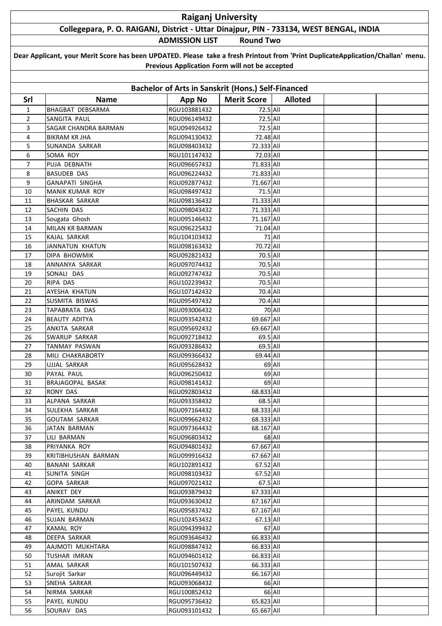## **Raiganj University Collegepara, P. O. RAIGANJ, District - Uttar Dinajpur, PIN - 733134, WEST BENGAL, INDIA**

**ADMISSION LIST Round Two**

| Dear Applicant, your Merit Score has been UPDATED. Please take a fresh Printout from 'Print DuplicateApplication/Challan' menu. |
|---------------------------------------------------------------------------------------------------------------------------------|
| Previous Application Form will not be accepted                                                                                  |

| <b>Bachelor of Arts in Sanskrit (Hons.) Self-Financed</b> |                         |               |                    |                |  |  |  |  |  |
|-----------------------------------------------------------|-------------------------|---------------|--------------------|----------------|--|--|--|--|--|
| Srl                                                       | <b>Name</b>             | <b>App No</b> | <b>Merit Score</b> | <b>Alloted</b> |  |  |  |  |  |
| 1                                                         | <b>BHAGBAT DEBSARMA</b> | RGU103881432  | 72.5 All           |                |  |  |  |  |  |
| $\overline{2}$                                            | SANGITA PAUL            | RGU096149432  | 72.5 All           |                |  |  |  |  |  |
| 3                                                         | SAGAR CHANDRA BARMAN    | RGU094926432  | 72.5 All           |                |  |  |  |  |  |
| 4                                                         | <b>BIKRAM KR JHA</b>    | RGU094130432  | 72.48 All          |                |  |  |  |  |  |
| 5                                                         | SUNANDA SARKAR          | RGU098403432  | 72.333 All         |                |  |  |  |  |  |
| 6                                                         | SOMA ROY                | RGU101147432  | 72.03 All          |                |  |  |  |  |  |
| 7                                                         | PUJA DEBNATH            | RGU096657432  | 71.833 All         |                |  |  |  |  |  |
| 8                                                         | <b>BASUDEB DAS</b>      | RGU096224432  | 71.833 All         |                |  |  |  |  |  |
| 9                                                         | GANAPATI SINGHA         | RGU092877432  | 71.667 All         |                |  |  |  |  |  |
| 10                                                        | MANIK KUMAR ROY         | RGU098497432  | 71.5 All           |                |  |  |  |  |  |
| 11                                                        | <b>BHASKAR SARKAR</b>   | RGU098136432  | 71.333 All         |                |  |  |  |  |  |
| 12                                                        | SACHIN DAS              | RGU098043432  | 71.333 All         |                |  |  |  |  |  |
| 13                                                        | Sougata Ghosh           | RGU095146432  | 71.167 All         |                |  |  |  |  |  |
| 14                                                        | MILAN KR BARMAN         | RGU096225432  | 71.04 All          |                |  |  |  |  |  |
| 15                                                        | KAJAL SARKAR            | RGU104103432  |                    | 71 All         |  |  |  |  |  |
| 16                                                        | JANNATUN KHATUN         | RGU098163432  | 70.72 All          |                |  |  |  |  |  |
| 17                                                        | DIPA BHOWMIK            | RGU092821432  | 70.5 All           |                |  |  |  |  |  |
| 18                                                        | ANNANYA SARKAR          | RGU097074432  | 70.5 All           |                |  |  |  |  |  |
| 19                                                        | SONALI DAS              | RGU092747432  | 70.5 All           |                |  |  |  |  |  |
| 20                                                        | RIPA DAS                | RGU102239432  | 70.5 All           |                |  |  |  |  |  |
| 21                                                        | AYESHA KHATUN           | RGU107142432  | 70.4 All           |                |  |  |  |  |  |
| 22                                                        | SUSMITA BISWAS          | RGU095497432  | 70.4 All           |                |  |  |  |  |  |
| 23                                                        | TAPABRATA DAS           | RGU093006432  |                    | 70 All         |  |  |  |  |  |
| 24                                                        | <b>BEAUTY ADITYA</b>    | RGU093542432  | 69.667 All         |                |  |  |  |  |  |
| 25                                                        | ANKITA SARKAR           | RGU095692432  | 69.667 All         |                |  |  |  |  |  |
| 26                                                        | <b>SWARUP SARKAR</b>    | RGU092718432  | $69.5$ All         |                |  |  |  |  |  |
| 27                                                        | TANMAY PASWAN           | RGU093286432  | 69.5 All           |                |  |  |  |  |  |
| 28                                                        | MILI CHAKRABORTY        | RGU099366432  | 69.44 All          |                |  |  |  |  |  |
| 29                                                        | UJJAL SARKAR            | RGU095628432  |                    | 69 All         |  |  |  |  |  |
| 30                                                        | PAYAL PAUL              | RGU096250432  |                    | 69 All         |  |  |  |  |  |
| 31                                                        | BRAJAGOPAL BASAK        | RGU098141432  |                    | 69 All         |  |  |  |  |  |
| 32                                                        | RONY DAS                | RGU092803432  | 68.833 All         |                |  |  |  |  |  |
| 33                                                        | ALPANA SARKAR           | RGU093358432  | 68.5 All           |                |  |  |  |  |  |
| 34                                                        | SULEKHA SARKAR          | RGU097164432  | 68.333 All         |                |  |  |  |  |  |
| 35                                                        | <b>GOUTAM SARKAR</b>    | RGU099662432  | 68.333 All         |                |  |  |  |  |  |
| 36                                                        | JATAN BARMAN            | RGU097364432  | 68.167 All         |                |  |  |  |  |  |
| 37                                                        | LILI BARMAN             | RGU096803432  |                    | 68 All         |  |  |  |  |  |
| 38                                                        | PRIYANKA ROY            | RGU094801432  | 67.667 All         |                |  |  |  |  |  |
| 39                                                        | KRITIBHUSHAN BARMAN     | RGU099916432  | 67.667 All         |                |  |  |  |  |  |
| 40                                                        | <b>BANANI SARKAR</b>    | RGU102891432  | 67.52 All          |                |  |  |  |  |  |
| 41                                                        | SUNITA SINGH            | RGU098103432  | 67.52 All          |                |  |  |  |  |  |
| 42                                                        | <b>GOPA SARKAR</b>      | RGU097021432  | 67.5 All           |                |  |  |  |  |  |
| 43                                                        | ANIKET DEY              | RGU093879432  | 67.333 All         |                |  |  |  |  |  |
| 44                                                        | ARINDAM SARKAR          | RGU093630432  | 67.167 All         |                |  |  |  |  |  |
| 45                                                        | PAYEL KUNDU             | RGU095837432  | 67.167 All         |                |  |  |  |  |  |
| 46                                                        | SUJAN BARMAN            | RGU102453432  | 67.13 All          |                |  |  |  |  |  |
| 47                                                        | <b>KAMAL ROY</b>        | RGU094399432  |                    | 67 All         |  |  |  |  |  |
| 48                                                        | DEEPA SARKAR            | RGU093646432  | 66.833 All         |                |  |  |  |  |  |
| 49                                                        | AAJMOTI MUKHTARA        | RGU098847432  | 66.833 All         |                |  |  |  |  |  |
| 50                                                        | TUSHAR IMRAN            | RGU094601432  | 66.833 All         |                |  |  |  |  |  |
| 51                                                        | AMAL SARKAR             | RGU101507432  | 66.333 All         |                |  |  |  |  |  |
| 52                                                        | Surojit Sarkar          | RGU096449432  | 66.167 All         |                |  |  |  |  |  |
| 53                                                        | SNEHA SARKAR            | RGU093068432  |                    | 66 All         |  |  |  |  |  |
| 54                                                        | NIRMA SARKAR            | RGU100852432  |                    | 66 All         |  |  |  |  |  |
| 55                                                        | PAYEL KUNDU             | RGU095736432  | 65.823 All         |                |  |  |  |  |  |
| 56                                                        | SOURAV DAS              | RGU093101432  | 65.667 All         |                |  |  |  |  |  |